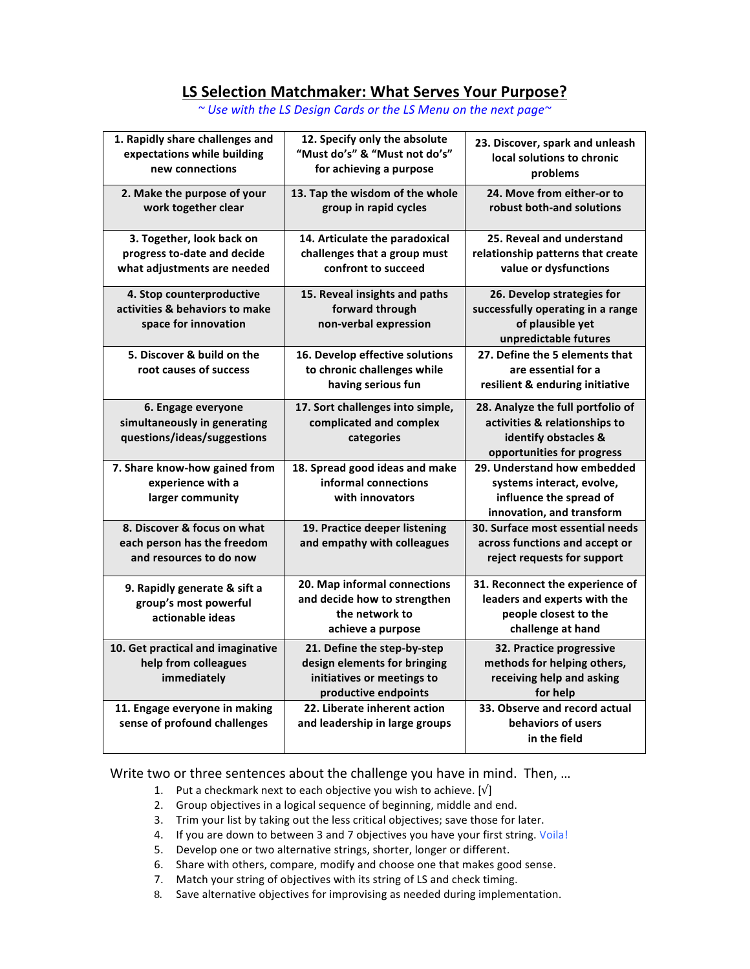## **LS Selection Matchmaker: What Serves Your Purpose?**

| 1. Rapidly share challenges and<br>expectations while building<br>new connections       | 12. Specify only the absolute<br>"Must do's" & "Must not do's"<br>for achieving a purpose                         | 23. Discover, spark and unleash<br>local solutions to chronic<br>problems                                                |
|-----------------------------------------------------------------------------------------|-------------------------------------------------------------------------------------------------------------------|--------------------------------------------------------------------------------------------------------------------------|
| 2. Make the purpose of your<br>work together clear                                      | 13. Tap the wisdom of the whole<br>group in rapid cycles                                                          | 24. Move from either-or to<br>robust both-and solutions                                                                  |
| 3. Together, look back on<br>progress to-date and decide<br>what adjustments are needed | 14. Articulate the paradoxical<br>challenges that a group must<br>confront to succeed                             | 25. Reveal and understand<br>relationship patterns that create<br>value or dysfunctions                                  |
| 4. Stop counterproductive<br>activities & behaviors to make<br>space for innovation     | 15. Reveal insights and paths<br>forward through<br>non-verbal expression                                         | 26. Develop strategies for<br>successfully operating in a range<br>of plausible yet<br>unpredictable futures             |
| 5. Discover & build on the<br>root causes of success                                    | 16. Develop effective solutions<br>to chronic challenges while<br>having serious fun                              | 27. Define the 5 elements that<br>are essential for a<br>resilient & enduring initiative                                 |
| 6. Engage everyone<br>simultaneously in generating<br>questions/ideas/suggestions       | 17. Sort challenges into simple,<br>complicated and complex<br>categories                                         | 28. Analyze the full portfolio of<br>activities & relationships to<br>identify obstacles &<br>opportunities for progress |
| 7. Share know-how gained from<br>experience with a<br>larger community                  | 18. Spread good ideas and make<br>informal connections<br>with innovators                                         | 29. Understand how embedded<br>systems interact, evolve,<br>influence the spread of<br>innovation, and transform         |
| 8. Discover & focus on what<br>each person has the freedom<br>and resources to do now   | 19. Practice deeper listening<br>and empathy with colleagues                                                      | 30. Surface most essential needs<br>across functions and accept or<br>reject requests for support                        |
| 9. Rapidly generate & sift a<br>group's most powerful<br>actionable ideas               | 20. Map informal connections<br>and decide how to strengthen<br>the network to<br>achieve a purpose               | 31. Reconnect the experience of<br>leaders and experts with the<br>people closest to the<br>challenge at hand            |
| 10. Get practical and imaginative<br>help from colleagues<br>immediately                | 21. Define the step-by-step<br>design elements for bringing<br>initiatives or meetings to<br>productive endpoints | 32. Practice progressive<br>methods for helping others,<br>receiving help and asking<br>for help                         |
| 11. Engage everyone in making<br>sense of profound challenges                           | 22. Liberate inherent action<br>and leadership in large groups                                                    | 33. Observe and record actual<br>behaviors of users<br>in the field                                                      |

*~ Use with the LS Design Cards or the LS Menu on the next page~*

Write two or three sentences about the challenge you have in mind. Then, ...

- 1. Put a checkmark next to each objective you wish to achieve. [ $\sqrt{ }$ ]
- 2. Group objectives in a logical sequence of beginning, middle and end.
- 3. Trim your list by taking out the less critical objectives; save those for later.
- 4. If you are down to between 3 and 7 objectives you have your first string. Voila!
- 5. Develop one or two alternative strings, shorter, longer or different.
- 6. Share with others, compare, modify and choose one that makes good sense.
- 7. Match your string of objectives with its string of LS and check timing.
- 8. Save alternative objectives for improvising as needed during implementation.